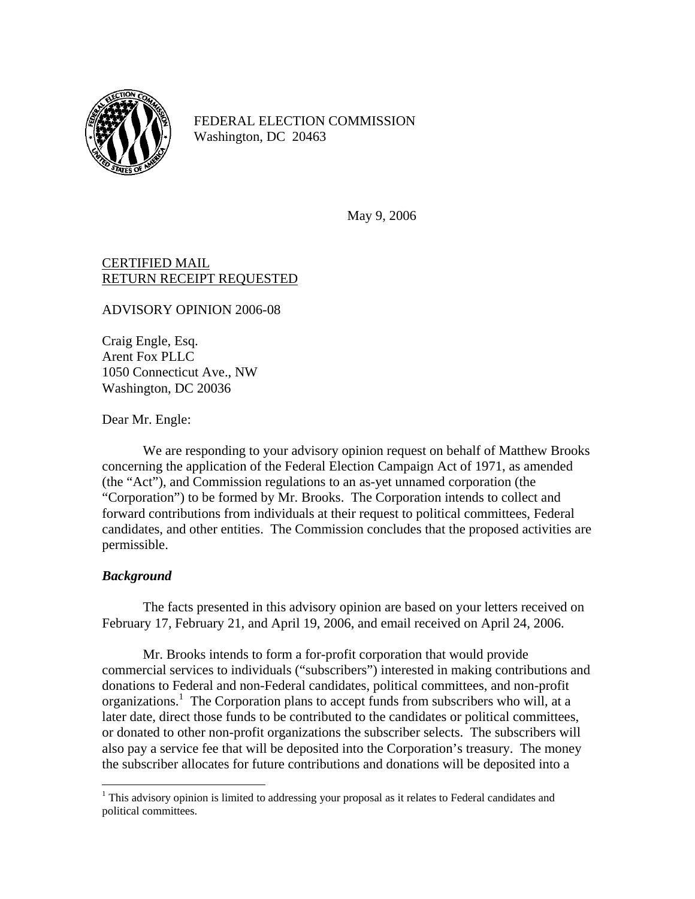

FEDERAL ELECTION COMMISSION Washington, DC 20463

May 9, 2006

## CERTIFIED MAIL RETURN RECEIPT REQUESTED

ADVISORY OPINION 2006-08

Craig Engle, Esq. Arent Fox PLLC 1050 Connecticut Ave., NW Washington, DC 20036

Dear Mr. Engle:

We are responding to your advisory opinion request on behalf of Matthew Brooks concerning the application of the Federal Election Campaign Act of 1971, as amended (the "Act"), and Commission regulations to an as-yet unnamed corporation (the "Corporation") to be formed by Mr. Brooks. The Corporation intends to collect and forward contributions from individuals at their request to political committees, Federal candidates, and other entities. The Commission concludes that the proposed activities are permissible.

## *Background*

 $\overline{a}$ 

The facts presented in this advisory opinion are based on your letters received on February 17, February 21, and April 19, 2006, and email received on April 24, 2006.

Mr. Brooks intends to form a for-profit corporation that would provide commercial services to individuals ("subscribers") interested in making contributions and donations to Federal and non-Federal candidates, political committees, and non-profit organizations.<sup>[1](#page-0-0)</sup> The Corporation plans to accept funds from subscribers who will, at a later date, direct those funds to be contributed to the candidates or political committees, or donated to other non-profit organizations the subscriber selects. The subscribers will also pay a service fee that will be deposited into the Corporation's treasury. The money the subscriber allocates for future contributions and donations will be deposited into a

<span id="page-0-0"></span><sup>&</sup>lt;sup>1</sup> This advisory opinion is limited to addressing your proposal as it relates to Federal candidates and political committees.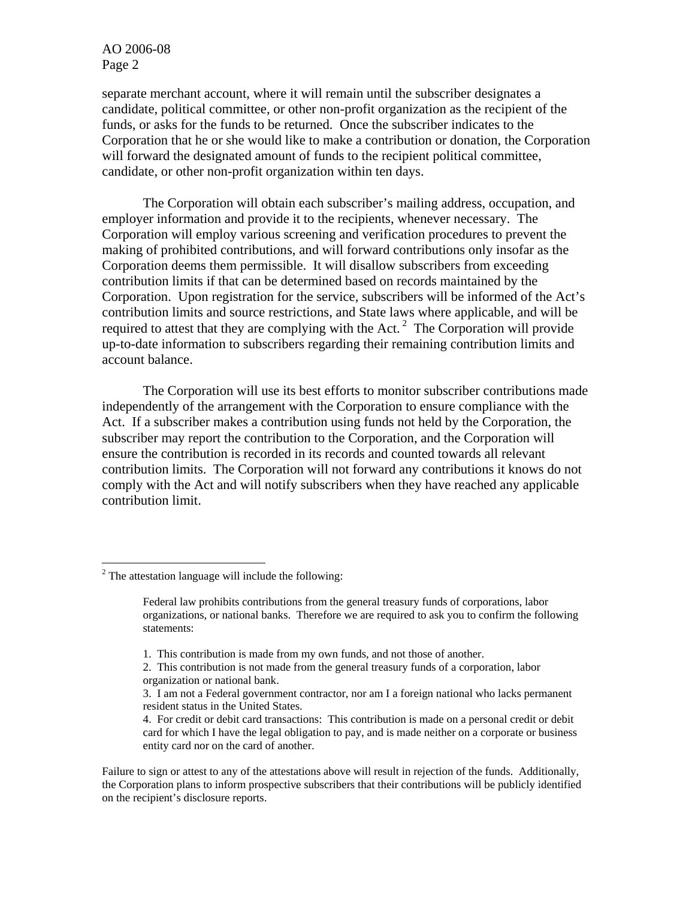separate merchant account, where it will remain until the subscriber designates a candidate, political committee, or other non-profit organization as the recipient of the funds, or asks for the funds to be returned. Once the subscriber indicates to the Corporation that he or she would like to make a contribution or donation, the Corporation will forward the designated amount of funds to the recipient political committee, candidate, or other non-profit organization within ten days.

The Corporation will obtain each subscriber's mailing address, occupation, and employer information and provide it to the recipients, whenever necessary. The Corporation will employ various screening and verification procedures to prevent the making of prohibited contributions, and will forward contributions only insofar as the Corporation deems them permissible. It will disallow subscribers from exceeding contribution limits if that can be determined based on records maintained by the Corporation. Upon registration for the service, subscribers will be informed of the Act's contribution limits and source restrictions, and State laws where applicable, and will be required to attest that they are complying with the Act.<sup>2</sup> The Corporation will provide up-to-date information to subscribers regarding their remaining contribution limits and account balance.

The Corporation will use its best efforts to monitor subscriber contributions made independently of the arrangement with the Corporation to ensure compliance with the Act. If a subscriber makes a contribution using funds not held by the Corporation, the subscriber may report the contribution to the Corporation, and the Corporation will ensure the contribution is recorded in its records and counted towards all relevant contribution limits. The Corporation will not forward any contributions it knows do not comply with the Act and will notify subscribers when they have reached any applicable contribution limit.

1

Failure to sign or attest to any of the attestations above will result in rejection of the funds. Additionally, the Corporation plans to inform prospective subscribers that their contributions will be publicly identified on the recipient's disclosure reports.

<span id="page-1-0"></span> $2$  The attestation language will include the following:

Federal law prohibits contributions from the general treasury funds of corporations, labor organizations, or national banks. Therefore we are required to ask you to confirm the following statements:

<sup>1.</sup> This contribution is made from my own funds, and not those of another.

<sup>2.</sup> This contribution is not made from the general treasury funds of a corporation, labor organization or national bank.

<sup>3.</sup> I am not a Federal government contractor, nor am I a foreign national who lacks permanent resident status in the United States.

<sup>4.</sup> For credit or debit card transactions: This contribution is made on a personal credit or debit card for which I have the legal obligation to pay, and is made neither on a corporate or business entity card nor on the card of another.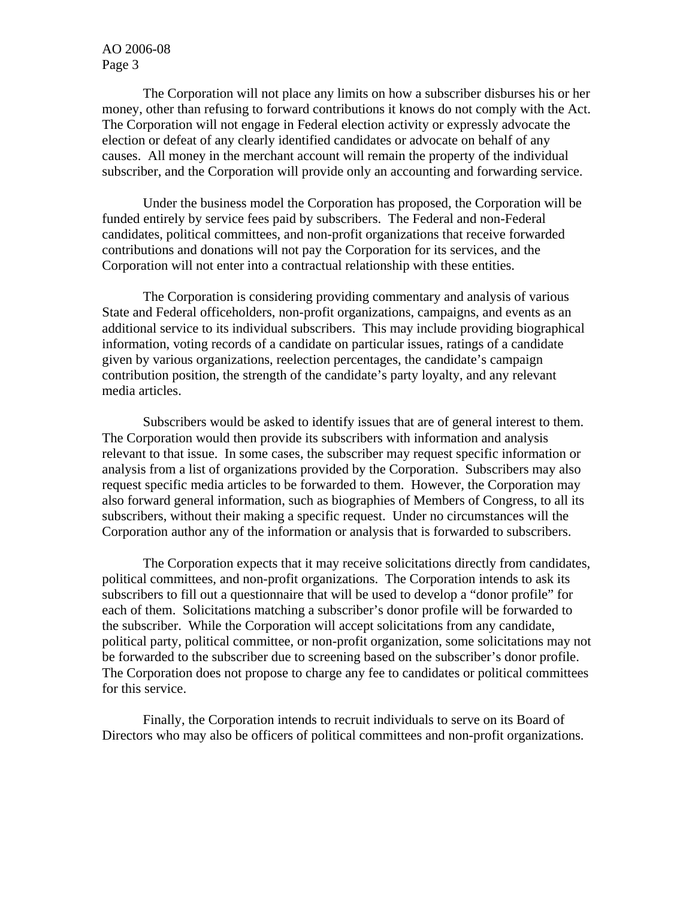The Corporation will not place any limits on how a subscriber disburses his or her money, other than refusing to forward contributions it knows do not comply with the Act. The Corporation will not engage in Federal election activity or expressly advocate the election or defeat of any clearly identified candidates or advocate on behalf of any causes. All money in the merchant account will remain the property of the individual subscriber, and the Corporation will provide only an accounting and forwarding service.

Under the business model the Corporation has proposed, the Corporation will be funded entirely by service fees paid by subscribers. The Federal and non-Federal candidates, political committees, and non-profit organizations that receive forwarded contributions and donations will not pay the Corporation for its services, and the Corporation will not enter into a contractual relationship with these entities.

 The Corporation is considering providing commentary and analysis of various State and Federal officeholders, non-profit organizations, campaigns, and events as an additional service to its individual subscribers. This may include providing biographical information, voting records of a candidate on particular issues, ratings of a candidate given by various organizations, reelection percentages, the candidate's campaign contribution position, the strength of the candidate's party loyalty, and any relevant media articles.

Subscribers would be asked to identify issues that are of general interest to them. The Corporation would then provide its subscribers with information and analysis relevant to that issue. In some cases, the subscriber may request specific information or analysis from a list of organizations provided by the Corporation. Subscribers may also request specific media articles to be forwarded to them. However, the Corporation may also forward general information, such as biographies of Members of Congress, to all its subscribers, without their making a specific request. Under no circumstances will the Corporation author any of the information or analysis that is forwarded to subscribers.

The Corporation expects that it may receive solicitations directly from candidates, political committees, and non-profit organizations. The Corporation intends to ask its subscribers to fill out a questionnaire that will be used to develop a "donor profile" for each of them. Solicitations matching a subscriber's donor profile will be forwarded to the subscriber. While the Corporation will accept solicitations from any candidate, political party, political committee, or non-profit organization, some solicitations may not be forwarded to the subscriber due to screening based on the subscriber's donor profile. The Corporation does not propose to charge any fee to candidates or political committees for this service.

Finally, the Corporation intends to recruit individuals to serve on its Board of Directors who may also be officers of political committees and non-profit organizations.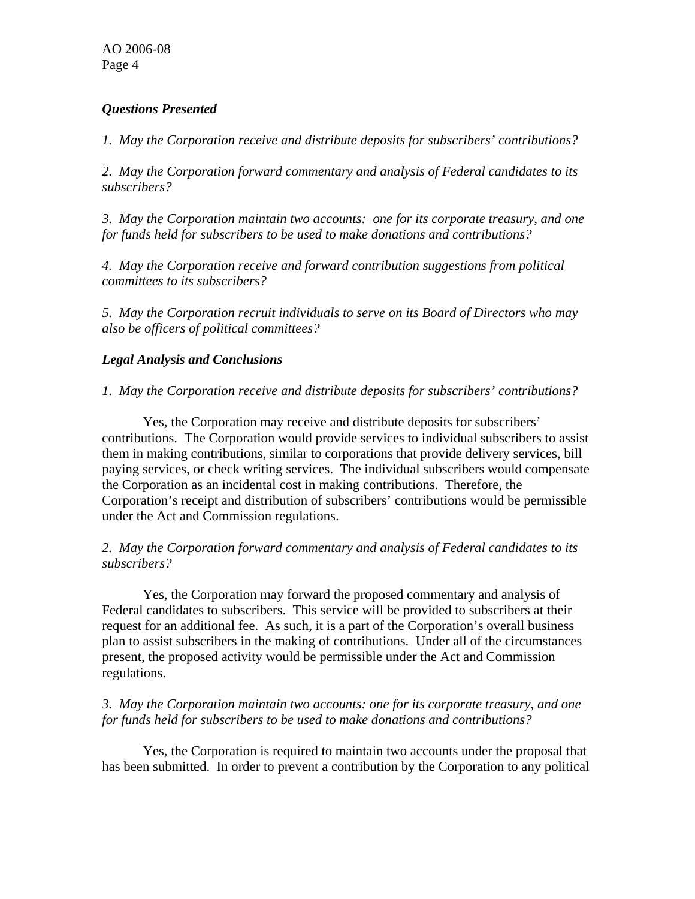## *Questions Presented*

*1. May the Corporation receive and distribute deposits for subscribers' contributions?* 

*2. May the Corporation forward commentary and analysis of Federal candidates to its subscribers?* 

*3. May the Corporation maintain two accounts: one for its corporate treasury, and one for funds held for subscribers to be used to make donations and contributions?* 

*4. May the Corporation receive and forward contribution suggestions from political committees to its subscribers?* 

*5. May the Corporation recruit individuals to serve on its Board of Directors who may also be officers of political committees?* 

# *Legal Analysis and Conclusions*

# *1. May the Corporation receive and distribute deposits for subscribers' contributions?*

Yes, the Corporation may receive and distribute deposits for subscribers' contributions. The Corporation would provide services to individual subscribers to assist them in making contributions, similar to corporations that provide delivery services, bill paying services, or check writing services. The individual subscribers would compensate the Corporation as an incidental cost in making contributions. Therefore, the Corporation's receipt and distribution of subscribers' contributions would be permissible under the Act and Commission regulations.

## *2. May the Corporation forward commentary and analysis of Federal candidates to its subscribers?*

Yes, the Corporation may forward the proposed commentary and analysis of Federal candidates to subscribers. This service will be provided to subscribers at their request for an additional fee. As such, it is a part of the Corporation's overall business plan to assist subscribers in the making of contributions. Under all of the circumstances present, the proposed activity would be permissible under the Act and Commission regulations.

## *3. May the Corporation maintain two accounts: one for its corporate treasury, and one for funds held for subscribers to be used to make donations and contributions?*

Yes, the Corporation is required to maintain two accounts under the proposal that has been submitted. In order to prevent a contribution by the Corporation to any political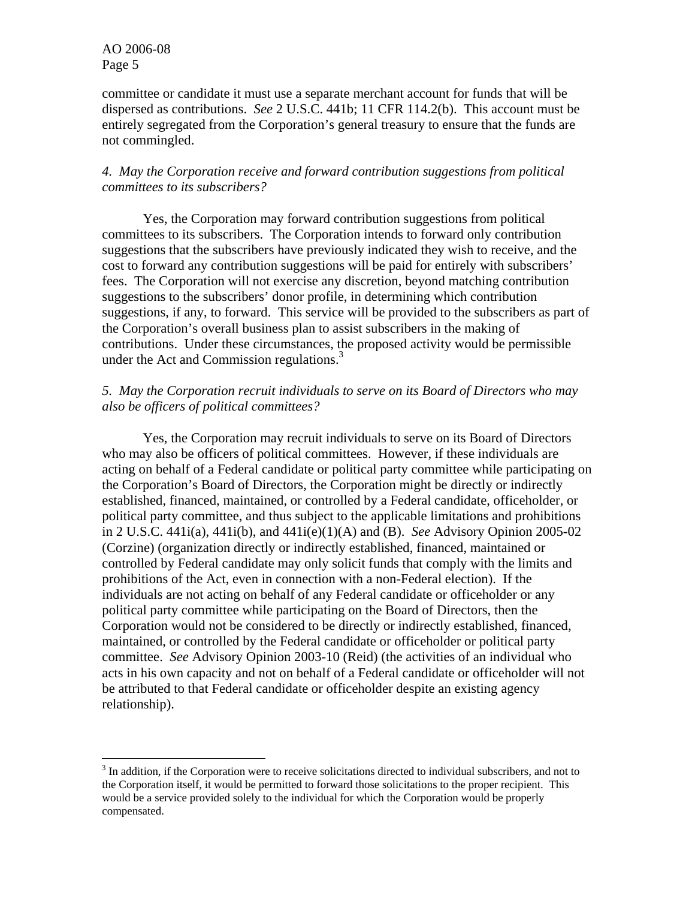<u>.</u>

committee or candidate it must use a separate merchant account for funds that will be dispersed as contributions. *See* 2 U.S.C. 441b; 11 CFR 114.2(b). This account must be entirely segregated from the Corporation's general treasury to ensure that the funds are not commingled.

#### *4. May the Corporation receive and forward contribution suggestions from political committees to its subscribers?*

 Yes, the Corporation may forward contribution suggestions from political committees to its subscribers. The Corporation intends to forward only contribution suggestions that the subscribers have previously indicated they wish to receive, and the cost to forward any contribution suggestions will be paid for entirely with subscribers' fees. The Corporation will not exercise any discretion, beyond matching contribution suggestions to the subscribers' donor profile, in determining which contribution suggestions, if any, to forward. This service will be provided to the subscribers as part of the Corporation's overall business plan to assist subscribers in the making of contributions. Under these circumstances, the proposed activity would be permissible under the Act and Commission regulations.<sup>[3](#page-4-0)</sup>

## *5. May the Corporation recruit individuals to serve on its Board of Directors who may also be officers of political committees?*

Yes, the Corporation may recruit individuals to serve on its Board of Directors who may also be officers of political committees. However, if these individuals are acting on behalf of a Federal candidate or political party committee while participating on the Corporation's Board of Directors, the Corporation might be directly or indirectly established, financed, maintained, or controlled by a Federal candidate, officeholder, or political party committee, and thus subject to the applicable limitations and prohibitions in 2 U.S.C. 441i(a), 441i(b), and 441i(e)(1)(A) and (B). *See* Advisory Opinion 2005-02 (Corzine) (organization directly or indirectly established, financed, maintained or controlled by Federal candidate may only solicit funds that comply with the limits and prohibitions of the Act, even in connection with a non-Federal election). If the individuals are not acting on behalf of any Federal candidate or officeholder or any political party committee while participating on the Board of Directors, then the Corporation would not be considered to be directly or indirectly established, financed, maintained, or controlled by the Federal candidate or officeholder or political party committee. *See* Advisory Opinion 2003-10 (Reid) (the activities of an individual who acts in his own capacity and not on behalf of a Federal candidate or officeholder will not be attributed to that Federal candidate or officeholder despite an existing agency relationship).

<span id="page-4-0"></span> $3$  In addition, if the Corporation were to receive solicitations directed to individual subscribers, and not to the Corporation itself, it would be permitted to forward those solicitations to the proper recipient. This would be a service provided solely to the individual for which the Corporation would be properly compensated.